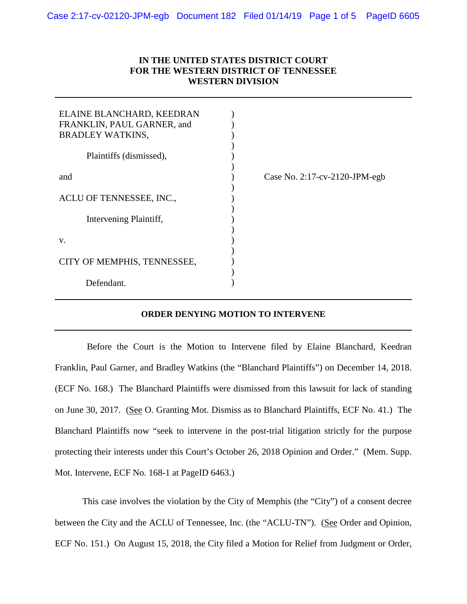## **IN THE UNITED STATES DISTRICT COURT FOR THE WESTERN DISTRICT OF TENNESSEE WESTERN DIVISION**

| ELAINE BLANCHARD, KEEDRAN<br>FRANKLIN, PAUL GARNER, and<br><b>BRADLEY WATKINS,</b> |                                      |
|------------------------------------------------------------------------------------|--------------------------------------|
| Plaintiffs (dismissed),                                                            |                                      |
| and                                                                                | Case No. $2:17$ -cv- $2120$ -JPM-egb |
| ACLU OF TENNESSEE, INC.,                                                           |                                      |
| Intervening Plaintiff,                                                             |                                      |
| V.                                                                                 |                                      |
| CITY OF MEMPHIS, TENNESSEE,                                                        |                                      |
| Defendant.                                                                         |                                      |

#### **ORDER DENYING MOTION TO INTERVENE**

 Before the Court is the Motion to Intervene filed by Elaine Blanchard, Keedran Franklin, Paul Garner, and Bradley Watkins (the "Blanchard Plaintiffs") on December 14, 2018. (ECF No. 168.) The Blanchard Plaintiffs were dismissed from this lawsuit for lack of standing on June 30, 2017. (See O. Granting Mot. Dismiss as to Blanchard Plaintiffs, ECF No. 41.) The Blanchard Plaintiffs now "seek to intervene in the post-trial litigation strictly for the purpose protecting their interests under this Court's October 26, 2018 Opinion and Order." (Mem. Supp. Mot. Intervene, ECF No. 168-1 at PageID 6463.)

This case involves the violation by the City of Memphis (the "City") of a consent decree between the City and the ACLU of Tennessee, Inc. (the "ACLU-TN"). (See Order and Opinion, ECF No. 151.) On August 15, 2018, the City filed a Motion for Relief from Judgment or Order,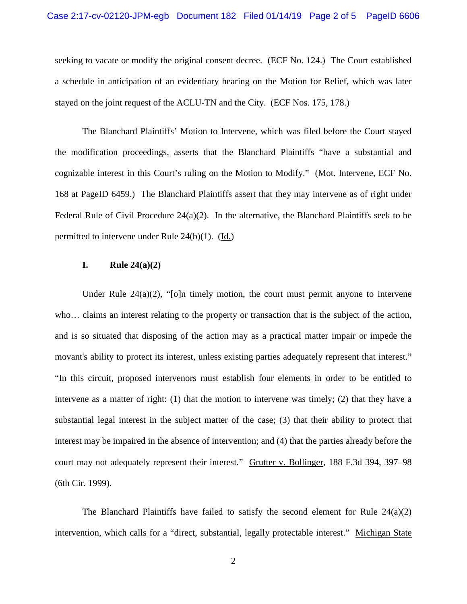seeking to vacate or modify the original consent decree. (ECF No. 124.) The Court established a schedule in anticipation of an evidentiary hearing on the Motion for Relief, which was later stayed on the joint request of the ACLU-TN and the City. (ECF Nos. 175, 178.)

The Blanchard Plaintiffs' Motion to Intervene, which was filed before the Court stayed the modification proceedings, asserts that the Blanchard Plaintiffs "have a substantial and cognizable interest in this Court's ruling on the Motion to Modify." (Mot. Intervene, ECF No. 168 at PageID 6459.) The Blanchard Plaintiffs assert that they may intervene as of right under Federal Rule of Civil Procedure  $24(a)(2)$ . In the alternative, the Blanchard Plaintiffs seek to be permitted to intervene under Rule 24(b)(1). (Id.)

## **I. Rule 24(a)(2)**

Under Rule  $24(a)(2)$ , "[o]n timely motion, the court must permit anyone to intervene who… claims an interest relating to the property or transaction that is the subject of the action, and is so situated that disposing of the action may as a practical matter impair or impede the movant's ability to protect its interest, unless existing parties adequately represent that interest." "In this circuit, proposed intervenors must establish four elements in order to be entitled to intervene as a matter of right: (1) that the motion to intervene was timely; (2) that they have a substantial legal interest in the subject matter of the case; (3) that their ability to protect that interest may be impaired in the absence of intervention; and (4) that the parties already before the court may not adequately represent their interest." Grutter v. Bollinger, 188 F.3d 394, 397–98 (6th Cir. 1999).

The Blanchard Plaintiffs have failed to satisfy the second element for Rule 24(a)(2) intervention, which calls for a "direct, substantial, legally protectable interest." Michigan State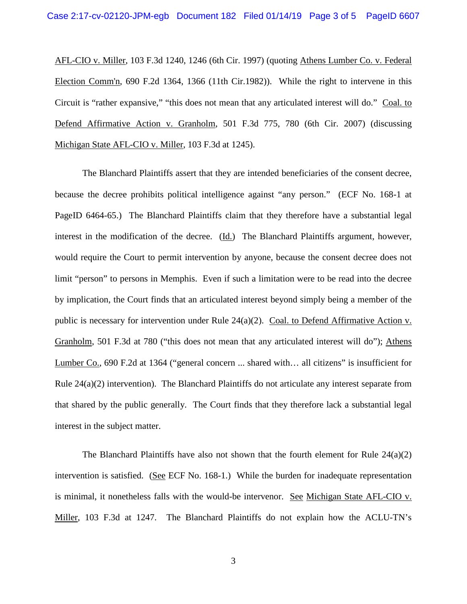AFL-CIO v. Miller, 103 F.3d 1240, 1246 (6th Cir. 1997) (quoting Athens Lumber Co. v. Federal Election Comm'n, 690 F.2d 1364, 1366 (11th Cir.1982)). While the right to intervene in this Circuit is "rather expansive," "this does not mean that any articulated interest will do." Coal. to Defend Affirmative Action v. Granholm, 501 F.3d 775, 780 (6th Cir. 2007) (discussing Michigan State AFL-CIO v. Miller, 103 F.3d at 1245).

The Blanchard Plaintiffs assert that they are intended beneficiaries of the consent decree, because the decree prohibits political intelligence against "any person." (ECF No. 168-1 at PageID 6464-65.) The Blanchard Plaintiffs claim that they therefore have a substantial legal interest in the modification of the decree. (Id.) The Blanchard Plaintiffs argument, however, would require the Court to permit intervention by anyone, because the consent decree does not limit "person" to persons in Memphis. Even if such a limitation were to be read into the decree by implication, the Court finds that an articulated interest beyond simply being a member of the public is necessary for intervention under Rule  $24(a)(2)$ . Coal. to Defend Affirmative Action v. Granholm, 501 F.3d at 780 ("this does not mean that any articulated interest will do"); Athens Lumber Co., 690 F.2d at 1364 ("general concern ... shared with… all citizens" is insufficient for Rule 24(a)(2) intervention). The Blanchard Plaintiffs do not articulate any interest separate from that shared by the public generally. The Court finds that they therefore lack a substantial legal interest in the subject matter.

The Blanchard Plaintiffs have also not shown that the fourth element for Rule  $24(a)(2)$ intervention is satisfied. (See ECF No. 168-1.) While the burden for inadequate representation is minimal, it nonetheless falls with the would-be intervenor. See Michigan State AFL-CIO v. Miller, 103 F.3d at 1247. The Blanchard Plaintiffs do not explain how the ACLU-TN's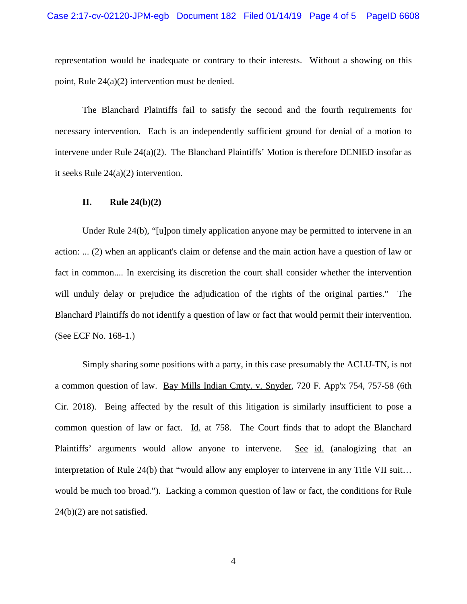representation would be inadequate or contrary to their interests. Without a showing on this point, Rule 24(a)(2) intervention must be denied.

The Blanchard Plaintiffs fail to satisfy the second and the fourth requirements for necessary intervention. Each is an independently sufficient ground for denial of a motion to intervene under Rule 24(a)(2). The Blanchard Plaintiffs' Motion is therefore DENIED insofar as it seeks Rule 24(a)(2) intervention.

### **II. Rule 24(b)(2)**

Under Rule 24(b), "[u]pon timely application anyone may be permitted to intervene in an action: ... (2) when an applicant's claim or defense and the main action have a question of law or fact in common.... In exercising its discretion the court shall consider whether the intervention will unduly delay or prejudice the adjudication of the rights of the original parties." The Blanchard Plaintiffs do not identify a question of law or fact that would permit their intervention. (See ECF No. 168-1.)

Simply sharing some positions with a party, in this case presumably the ACLU-TN, is not a common question of law. Bay Mills Indian Cmty. v. Snyder, 720 F. App'x 754, 757-58 (6th Cir. 2018). Being affected by the result of this litigation is similarly insufficient to pose a common question of law or fact. Id. at 758. The Court finds that to adopt the Blanchard Plaintiffs' arguments would allow anyone to intervene. See id. (analogizing that an interpretation of Rule 24(b) that "would allow any employer to intervene in any Title VII suit… would be much too broad."). Lacking a common question of law or fact, the conditions for Rule 24(b)(2) are not satisfied.